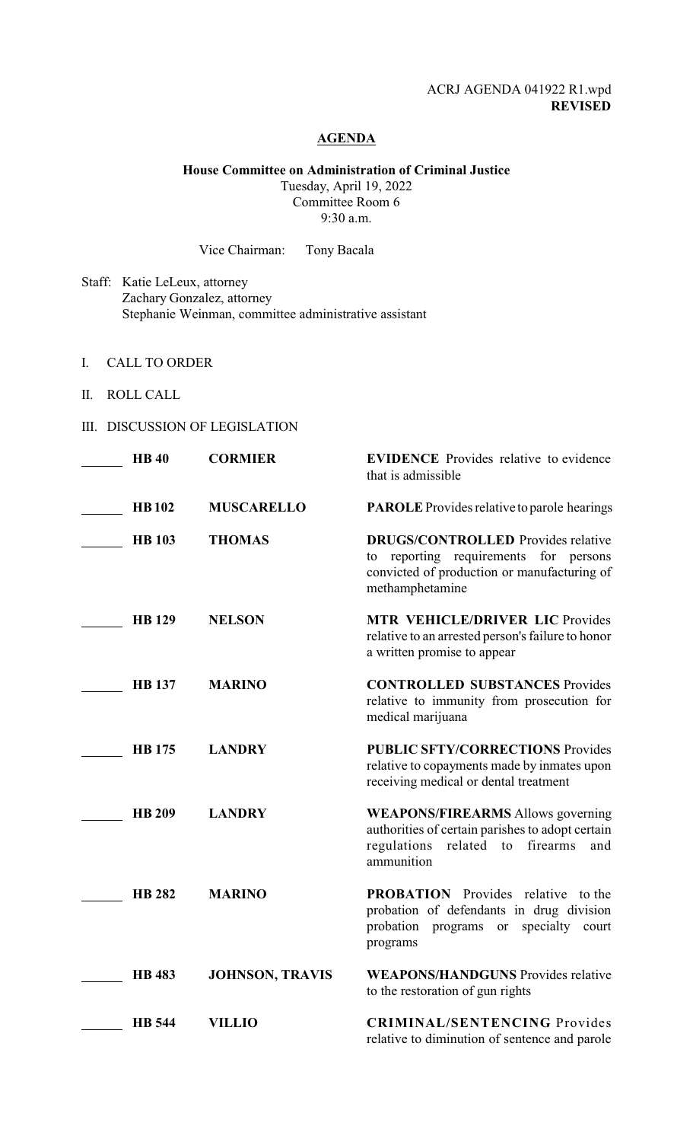# ACRJ AGENDA 041922 R1.wpd **REVISED**

#### **AGENDA**

# **House Committee on Administration of Criminal Justice**

Tuesday, April 19, 2022 Committee Room 6 9:30 a.m.

Vice Chairman: Tony Bacala

- Staff: Katie LeLeux, attorney Zachary Gonzalez, attorney Stephanie Weinman, committee administrative assistant
- I. CALL TO ORDER
- II. ROLL CALL
- III. DISCUSSION OF LEGISLATION

| <b>HB40</b>   | <b>CORMIER</b>         | <b>EVIDENCE</b> Provides relative to evidence<br>that is admissible                                                                                           |
|---------------|------------------------|---------------------------------------------------------------------------------------------------------------------------------------------------------------|
| <b>HB102</b>  | <b>MUSCARELLO</b>      | <b>PAROLE</b> Provides relative to parole hearings                                                                                                            |
| <b>HB</b> 103 | <b>THOMAS</b>          | <b>DRUGS/CONTROLLED</b> Provides relative<br>reporting requirements for persons<br>to<br>convicted of production or manufacturing of<br>methamphetamine       |
| <b>HB</b> 129 | <b>NELSON</b>          | <b>MTR VEHICLE/DRIVER LIC Provides</b><br>relative to an arrested person's failure to honor<br>a written promise to appear                                    |
| <b>HB</b> 137 | <b>MARINO</b>          | <b>CONTROLLED SUBSTANCES Provides</b><br>relative to immunity from prosecution for<br>medical marijuana                                                       |
| <b>HB</b> 175 | <b>LANDRY</b>          | <b>PUBLIC SFTY/CORRECTIONS Provides</b><br>relative to copayments made by inmates upon<br>receiving medical or dental treatment                               |
| <b>HB 209</b> | <b>LANDRY</b>          | <b>WEAPONS/FIREARMS</b> Allows governing<br>authorities of certain parishes to adopt certain<br>regulations<br>related<br>firearms<br>to<br>and<br>ammunition |
| <b>HB 282</b> | <b>MARINO</b>          | <b>PROBATION</b> Provides relative to the<br>probation of defendants in drug division<br>probation<br>specialty<br>programs<br>court<br>or<br>programs        |
| <b>HB</b> 483 | <b>JOHNSON, TRAVIS</b> | <b>WEAPONS/HANDGUNS</b> Provides relative<br>to the restoration of gun rights                                                                                 |
| <b>HB</b> 544 | <b>VILLIO</b>          | <b>CRIMINAL/SENTENCING Provides</b><br>relative to diminution of sentence and parole                                                                          |